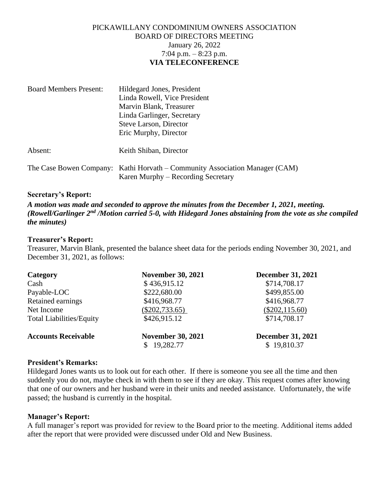# PICKAWILLANY CONDOMINIUM OWNERS ASSOCIATION BOARD OF DIRECTORS MEETING January 26, 2022 7:04 p.m. – 8:23 p.m. **VIA TELECONFERENCE**

| <b>Board Members Present:</b> | Hildegard Jones, President                                                                                        |  |
|-------------------------------|-------------------------------------------------------------------------------------------------------------------|--|
|                               | Linda Rowell, Vice President                                                                                      |  |
|                               | Marvin Blank, Treasurer                                                                                           |  |
|                               | Linda Garlinger, Secretary                                                                                        |  |
|                               | Steve Larson, Director                                                                                            |  |
|                               | Eric Murphy, Director                                                                                             |  |
| Absent:                       | Keith Shiban, Director                                                                                            |  |
|                               | The Case Bowen Company: Kathi Horvath – Community Association Manager (CAM)<br>Karen Murphy – Recording Secretary |  |

## **Secretary's Report:**

*A motion was made and seconded to approve the minutes from the December 1, 2021, meeting.* (Rowell/Garlinger 2<sup>nd</sup> /Motion carried 5-0, with Hidegard Jones abstaining from the vote as she compiled *the minutes)*

## **Treasurer's Report:**

Treasurer, Marvin Blank, presented the balance sheet data for the periods ending November 30, 2021, and December 31, 2021, as follows:

| Category                        | <b>November 30, 2021</b>                          | <b>December 31, 2021</b>                |
|---------------------------------|---------------------------------------------------|-----------------------------------------|
| Cash                            | \$436,915.12                                      | \$714,708.17                            |
| Payable-LOC                     | \$222,680.00                                      | \$499,855.00                            |
| Retained earnings               | \$416,968.77                                      | \$416,968.77                            |
| Net Income                      | $(\$202,733.65)$                                  | $(\$202, 115.60)$                       |
| <b>Total Liabilities/Equity</b> | \$426,915.12                                      | \$714,708.17                            |
| <b>Accounts Receivable</b>      | <b>November 30, 2021</b><br>19,282.77<br><b>S</b> | <b>December 31, 2021</b><br>\$19,810.37 |

#### **President's Remarks:**

Hildegard Jones wants us to look out for each other. If there is someone you see all the time and then suddenly you do not, maybe check in with them to see if they are okay. This request comes after knowing that one of our owners and her husband were in their units and needed assistance. Unfortunately, the wife passed; the husband is currently in the hospital.

#### **Manager's Report:**

A full manager's report was provided for review to the Board prior to the meeting. Additional items added after the report that were provided were discussed under Old and New Business.